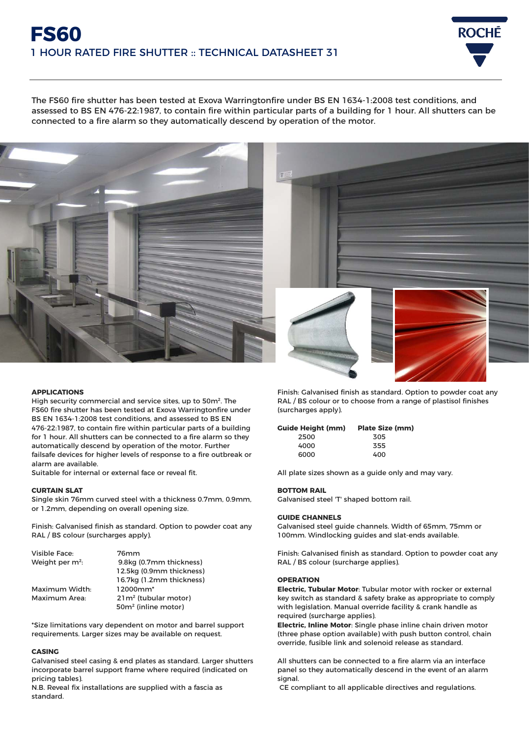# **FS60** 1 HOUR RATED FIRE SHUTTER :: TECHNICAL DATASHEET 31



The FS60 fire shutter has been tested at Exova Warringtonfire under BS EN 1634-1:2008 test conditions, and assessed to BS EN 476-22:1987, to contain fire within particular parts of a building for 1 hour. All shutters can be connected to a fire alarm so they automatically descend by operation of the motor.



## **APPLICATIONS**

High security commercial and service sites, up to 50m². The FS60 fire shutter has been tested at Exova Warringtonfire under BS EN 1634-1:2008 test conditions, and assessed to BS EN 476-22:1987, to contain fire within particular parts of a building for 1 hour. All shutters can be connected to a fire alarm so they automatically descend by operation of the motor. Further failsafe devices for higher levels of response to a fire outbreak or alarm are available.

Suitable for internal or external face or reveal fit.

## **CURTAIN SLAT**

Single skin 76mm curved steel with a thickness 0.7mm, 0.9mm, or 1.2mm, depending on overall opening size.

Finish: Galvanised finish as standard. Option to powder coat any RAL / BS colour (surcharges apply).

| Visible Face:               | 76mm                             |
|-----------------------------|----------------------------------|
| Weight per m <sup>2</sup> : | 9.8kg (0.7mm thickness)          |
|                             | 12.5kg (0.9mm thickness)         |
|                             | 16.7kg (1.2mm thickness)         |
| Maximum Width:              | $12000mm*$                       |
| Maximum Area:               | 21m <sup>2</sup> (tubular motor) |
|                             | 50m <sup>2</sup> (inline motor)  |

\*Size limitations vary dependent on motor and barrel support requirements. Larger sizes may be available on request.

## **CASING**

Galvanised steel casing & end plates as standard. Larger shutters incorporate barrel support frame where required (indicated on pricing tables).

N.B. Reveal fix installations are supplied with a fascia as standard.

Finish: Galvanised finish as standard. Option to powder coat any RAL / BS colour or to choose from a range of plastisol finishes (surcharges apply).

# **Guide Height (mm) Plate Size (mm)**

| 2500 | 305 |
|------|-----|
| 4000 | 355 |
| 6000 | 400 |

All plate sizes shown as a guide only and may vary.

## **BOTTOM RAIL**

Galvanised steel 'T' shaped bottom rail.

## **GUIDE CHANNELS**

Galvanised steel guide channels. Width of 65mm, 75mm or 100mm. Windlocking guides and slat-ends available.

Finish: Galvanised finish as standard. Option to powder coat any RAL / BS colour (surcharge applies).

## **OPERATION**

**Electric, Tubular Motor**: Tubular motor with rocker or external key switch as standard & safety brake as appropriate to comply with legislation. Manual override facility & crank handle as required (surcharge applies).

**Electric, Inline Motor**: Single phase inline chain driven motor (three phase option available) with push button control, chain override, fusible link and solenoid release as standard.

All shutters can be connected to a fire alarm via an interface panel so they automatically descend in the event of an alarm signal.

CE compliant to all applicable directives and regulations.